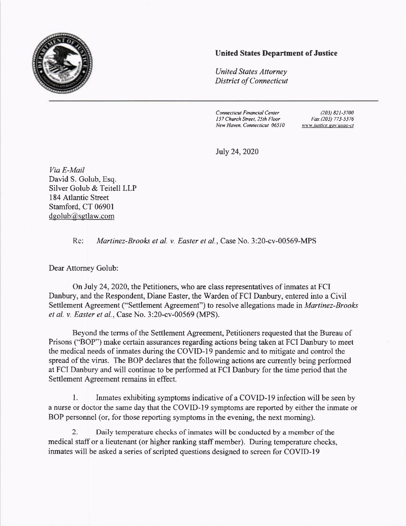

## United States Department of Justice

United States Altorney District of Connecticut

Connecticut Financial Center 157 Chwch Street. 25th Floot New Haven. Connecticut 06510

(203) 821-37N Fat (203) 773-5376 HHH justice gov usao-ct

JuJy 24,2020

Via E-Mail David S. Golub, Esq. Silver Golub & Teitell LLP <sup>1</sup>84 Atlantic Street Stamford, CT 06901 dgolub@sgtlaw.com

Re: Martinez-Brooks et al. v. Easter et al., Case No. 3:20-cv-00569-MPS

Dear Attomey Golub:

On July 24, 2020, the Petitioners, who are class representatives of inmates at FCI Danbury, and the Respondent, Diane Easter, the Warden of FCI Danbury, entered into a Civil Settlement Agreement ("Settlement Agreement") to resolve allegations made in *Martinez-Brooks* et al. v. Easter et al., Case No. 3:20-cv-00569 (MPS).

Beyond the terms of the Settlement Agreement, Petitioners requested that the Bureau of Prisons ("BOP") make certain assurances regarding actions being taken at FCI Danbury to meet the medical needs of inmates during the COVID-19 pandemic and to mitigate and control the spread of the virus. The BOP declares that the following actions are currently being performed at FCI Danbury and will continue to be performed at FCI Danbury for the time period that the Settlement Agreement remains in effect.

1. Inmates exhibiting symptoms indicative of a COVID-I9 infection will be seen by a nurse or doctor the same day that the COVID-I9 symptoms are reported by either the inmate or BOP personnel (or, for those reporting symptoms in the evening, the next moming).

2. Daily temperatue checks of inmates will be conducted by a member of the medical staff or a lieutenant (or higher ranking staff member). During temperature checks, inmates will be asked a series of scripted questions designed to screen for COVID-I9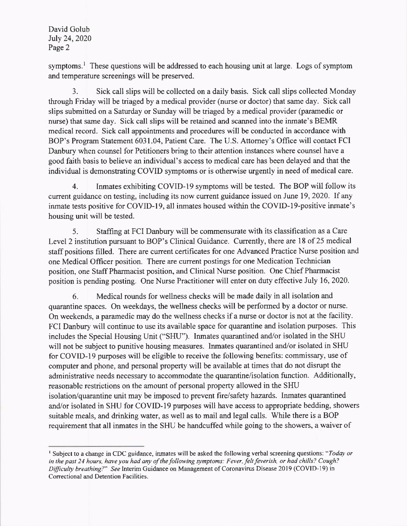David Golub July 24, 2020 Page 2

symptoms.<sup>1</sup> These questions will be addressed to each housing unit at large. Logs of symptom and temperature screenings will be preserved.

3. Sick call slips will be collected on a daily basis. Sick call slips collected Monday through Friday will be triaged by a medical provider (nurse or doctor) that same day. Sick call slips submitted on a Saturday or Sunday will be triaged by a medical provider (paramedic or nurse) that same day. Sick call slips will be retained and scanned into the inmate's BEMR medical record. Sick call appointments and procedures will be conducted in accordance with BOP's Program Statement 6031.04, Patient Care. The U.S. Attomey's Office will contact FCI Danbury when counsel for Petitioners bring to their attention instances where counsel have a good faith basis to believe an individual's access to medical care has been delayed and that the individual is demonstrating COVID symptoms or is otherwise urgently in need of medical care.

4. Inmates exhibiting COVID-l9 symptoms will be tested. The BOP will follow its current guidance on testing, including its now current guidance issued on June 19,2020. lf any inmate tests positive for COVID-I9, all inmates housed within the COVID-I9-positive inmate's housing unit will be tested.

5. Staffing at FCI Danbury will be commensurate with its classification as a Care Level 2 institution pursuant to BOP's Clinical Guidance. Currently, there are 18 of 25 medical staff positions filled. There are current certificates for one Advanced Practice Nurse position and one Medical Officer position. There are current postings for one Medication Technician position, one Staff Pharmacist position, and Clinical Nurse position. One Chief Pharmacist position is pending posting. One Nurse Practitioner will enter on duty effective luly 16,2020.

6. Medical rounds for wellness checks will be made daily in all isolation and quuantine spaces. On weekdays, the wellness checks will be performed by a doctor or nurse. On weekends, a paramedic may do the wellness checks if a nurse or doctor is not at the facility. FCI Danbury will continue to use its available space for quarantine and isolation purposes. This includes the Special Housing Unit ("SHU"). Inmates quarantined and/or isolated in the SHU will not be subject to punitive housing measures. Inmates quarantined and/or isolated in SHU for COVID-19 purposes will be eligible to receive the following benefits: commissary, use of computer and phone, and personal property will be available at times that do not disrupt the administrative needs necessary to accommodate the quarantine/isolation function. Additionally, reasonable restrictions on the amount of personal property allowed in the SHU isolation/quarantine unit may be imposed to prevent fire/safety hazards. Inmates quarantined and/or isolated in SHU for COVID-I9 purposes will have access to appropriate bedding, showers suitable meals, and drinking water, as well as to mail and legal calls. While there is a BOP requirement that all inmates in the SHU be handcuffed while going to the showers, a waiver of

<sup>&</sup>lt;sup>1</sup> Subject to a change in CDC guidance, inmates will be asked the following verbal screening questions: "Today or in the past 24 hours, have you had any of the following symptoms: Fever, felt feverish, or had chills? Cough? Difficulty breathing?" See Interim Guidance on Management of Coronavirus Disease 2019 (COVID-19) in Correctional and Detention Facilities.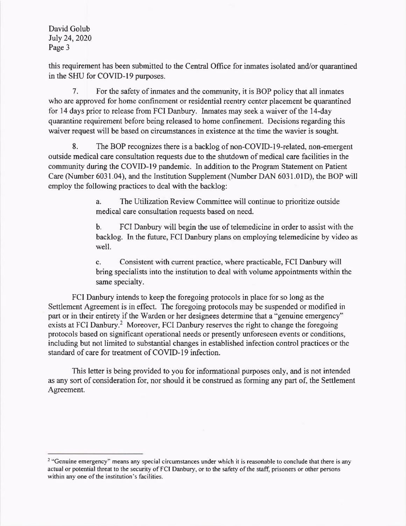David Golub July 24, 2020 Page 3

this requirement has been submitted to the Central Offrce for inmates isolated and/or quarantined in the SHU for COVID-19 purposes.

7. For the safety of inmates and the community, it is BOP policy that all inmates who are approved for home confinement or residential reentry center placement be quarantined for 14 days prior to release from FCI Danbury. Inmates may seek a waiver of the 14-day quarantine requirement before being released to home confinement. Decisions regarding this waiver request will be based on circumstances in existence at the time the wavier is sought.

8. The BOP recognizes there is a backlog of non-COVID-19-related, non-emergent outside medical care consultation requests due to the shutdown of medical care facilities in the community during the COVID-I9 pandemic. In addition to the Program Statement on Patient Care (Number 6031.04), and the lnstitution Supplement (Number DAN 6031.01D), the BOP will employ the following practices to deal with the backlog:

> a. The Utilization Review Committee will continue to prioritize outside medical care consultation requests based on need.

b. FCI Danbury will begin the use of telemedicine in order to assist with the backlog. In the future, FCI Danbury plans on employing telemedicine by video as well.

c. Consistent with current practice, where practicable, FCI Danbury will bring specialists into the institution to deal with volume appointments within the same specialty.

FCI Danbury intends to keep the foregoing protocols in place for so long as the Settlement Agreement is in effect. The foregoing protocols may be suspended or modified in part or in their entirety if the Warden or her designees determine that a "genuine emergency" exists at FCI Danbury.<sup>2</sup> Moreover, FCI Danbury reserves the right to change the foregoing protocols based on significant operational needs or presently mforeseen events or conditions, including but not limited to substantial changes in established infection control practices or the standard of care for treatment of COVID-I9 infection.

This letter is being provided to you for informational purposes only, and is not intended as any sort of consideration for, nor should it be construed as forming any part of, the Settlement Agreement.

<sup>&</sup>lt;sup>2</sup> "Genuine emergency" means any special circumstances under which it is reasonable to conclude that there is any actual or potential threat to the security of FCI Danbury, or to the safety of the staff, prisoners or other persons within any one of the institution's facilities.